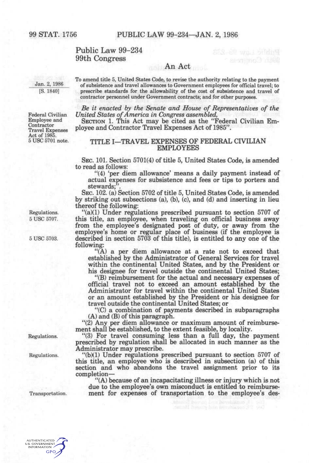# Public Law 99-234 99th Congress

## An Act

Jan. 2, 1986 [S. 1840]

To amend title 5, United States Code, to revise the authority relating to the payment of subsistence and travel allowances to Government employees for official travel; to prescribe standards for the allowability of the cost of subsistence and travel of contractor personnel under Government contracts; and for other purposes.

*Be it enacted by the Senate and House of Representatives of the United States of America in Congress assembled,* 

SECTION 1. This Act may be cited as the "Federal Civilian Employee and Contractor Travel Expenses Act of 1985".

## TITLE I—TRAVEL EXPENSES OF FEDERAL CIVILIAN EMPLOYEES

SEC. 101. Section 5701(4) of title 5, United States Code, is amended to read as follows:

"(4) 'per diem allowance' means a daily payment instead of actual expenses for subsistence and fees or tips to porters and stewards:

SEC. 102. (a) Section 5702 of title 5, United States Code, is amended by striking out subsections (a), (b), (c), and (d) and inserting in lieu thereof the following:

"(a)(1) Under regulations prescribed pursuant to section 5707 of this title, an employee, when traveling on official business away from the employee's designated post of duty, or away from the employee's home or regular place of business (if the employee is described in section 5703 of this title), is entitled to any one of the following:

"(A) a per diem allowance at a rate not to exceed that established by the Administrator of General Services for travel within the continental United States, and by the President or his designee for travel outside the continental United States;

"(B) reimbursement for the actual and necessary expenses of official travel not to exceed an amount established by the Administrator for travel within the continental United States or an amount established by the President or his designee for travel outside the continental United States; or

"(C) a combination of payments described in subparagraphs (A) and (B) of this paragraph.

"(2) Any per diem allowance or maximum amount of reimbursement shall be established, to the extent feasible, by locality.

"(3) For travel consuming less than a full day, the payment prescribed by regulation shall be allocated in such manner as the Administrator may prescribe.

"(b)(1) Under regulations prescribed pursuant to section 5707 of this title, an employee who is described in subsection (a) of this section and who abandons the travel assignment prior to its completion—

"(A) because of an incapacitating illness or injury which is not due to the employee's own misconduct is entitled to reimbursement for expenses of transportation to the employee's des-

Federal Civilian Employee and Contractor Travel Expenses Act of 1985.<br>5 USC 5701 note.

Regulations. 5 USC 5707.

5 USC 5703.

Regulations.

Regulations.

Transportation.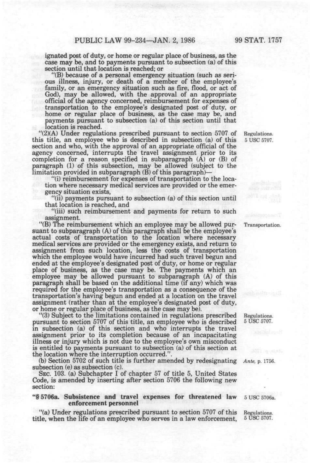ignated post of duty, or home or regular place of business, as the case may be, and to payments pursuant to subsection (a) of this section until that location is reached; or

"(B) because of a personal emergency situation (such as serious illness, injury, or death of a member of the employee's family, or an emergency situation such as fire, flood, or act of God), may be allowed, with the approval of an appropriate official of the agency concerned, reimbursement for expenses of transportation to the employee's designated post of duty, or home or regular place of business, as the case may be, and payments pursuant to subsection (a) of this section until that location is reached.

"(2)(A) Under regulations prescribed pursuant to section 5707 of this title, an employee who is described in subsection (a) of this section and who, with the approval of an appropriate official of the agency concerned, interrupts the travel assignment prior to its completion for a reason specified in subparagraph (A) or (B) of paragraph (1) of this subsection, may be allowed (subject to the limitation provided in subparagraph (B) of this paragraph)-

"(i) reimbursement for expenses of transportation to the location where necessary medical services are provided or the emergency situation exists,

"(ii) payments pursuant to subsection (a) of this section until that location is reached, and

"(iii) such reimbursement and payments for return to such assignment.

"(B) The reimbursement which an employee may be allowed pursuant to subparagraph (A) of this paragraph shall be the employee's actual costs of transportation to the location where necessary medical services are provided or the emergency exists, and return to assignment from such location, less the costs of transportation which the employee would have incurred had such travel begun and ended at the employee's designated post of duty, or home or regular place of business, as the case may be. The payments which an employee may be allowed pursuant to subparagraph (A) of this paragraph shall be based on the additional time (if any) which was required for the employee's transportation as a consequence of the transportation's having begun and ended at a location on the travel assignment (rather than at the employee's designated post of duty, or home or regular place of business, as the case may be).

"(3) Subject to the limitations contained in regulations prescribed pursuant to section 5707 of this title, an employee who is described in subsection (a) of this section and who interrupts the travel assignment prior to its completion because of an incapacitating illness or injury which is not due to the employee's own misconduct is entitled to payments pursuant to subsection (a) of this section at the location where the interruption occurred.".

(b) Section 5702 of such title is further amended by redesignating *Ante,* p. 1756. subsection (e) as subsection (c).

SEC. 103. (a) Subchapter I of chapter 57 of title 5, United States Code, is amended by inserting after section 5706 the following new section:

#### "§ 5706a. Subsistence **and** travel expenses for threatened law enforcement personnel

"(a) Under regulations prescribed pursuant to section 5707 of this title, when the life of an employee who serves in a law enforcement.

Regulations. 5 USC 5707.

Transportation.

Regulations. 5 USC 5707.

5 USC 5706a.

Regulations. 5 USC 5707.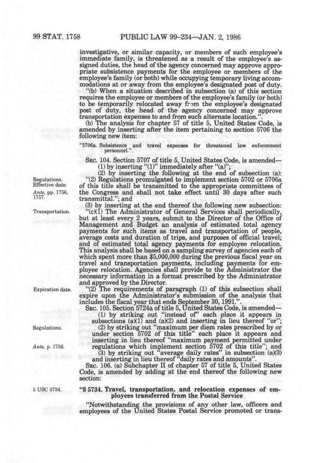investigative, or similar capacity, or members of such employee's immediate family, is threatened as a result of the employee's assigned duties, the head of the agency concerned may approve appropriate subsistence payments for the employee or members of the employee's family (or both) while occupying temporary living accommodations at or away from the employee's designated post of duty.

"(b) When a situation described in subsection (a) of this section requires the employee or members of the employee's family (or both) to be temporarily relocated away from the employee's designated post of duty, the head of the agency concerned may approve transportation expenses to and from such alternate location.

(b) The analysis for chapter 57 of title 5, United States Code, is amended by inserting after the item pertaining to section 5706 the following new item:

"5706a. Subsistence and travel expenses **for** threatened **law** enforcement personnel.".

SEC. 104. Section 5707 of title 5, United States Code, is amended— (1) by inserting  $"(1)"$  immediately after  $"(a)"$ ;

(2) by inserting the following at the end of subsection (a): "(2) Regulations promulgated to implement section 5702 or 5706a of this title shall be transmitted to the appropriate committees of the Congress and shall not take effect until 30 days after such transmittal."; and

(3) by inserting at the end thereof the following new subsection:

"(c)(1) The Administrator of General Services shall periodically, but at least every 2 years, submit to the Director of the Office of Management and Budget an analysis of estimated total agency payments for such items as travel and transportation of people, average costs and duration of trips, and purposes of official travel; and of estimated total agency payments for employee relocation. This analysis shall be based on a sampling survey of agencies each of which spent more than \$5,000,000 during the previous fiscal year on travel and transportation payments, including payments for employee relocation. Agencies shall provide to the Administrator the necessary information in a format prescribed by the Administrator and approved by the Director.

"(2) The requirements of paragraph (1) of this subsection shall expire upon the Administrator's submission of the analysis that includes the fiscal year that ends September 30,1991.".

SEC. 105. Section 5724a of title 5, United States Code, is amended— (1) by striking out "instead of" each place it appears in

subsections  $(a)(1)$  and  $(a)(2)$  and inserting in lieu thereof "or"; (2) by striking out "maximum per diem rates prescribed by or under section 5702 of this title" each place it appears and

inserting in lieu thereof "maximum payment permitted under regulations which implement section 5702 of this title"; and

(3) by striking out "average daily rates" in subsection  $(a)(3)$ and inserting in lieu thereof "daily rates and amounts".

SEC. 106. (a) Subchapter II of chapter 57 of title 5, United States Code, is amended by adding at the end thereof the following new section:

"§ 5734. Travel, transportation, and relocation expenses of employees transferred from the Postal Service

"Notwithstanding the provisions of any other law, officers and employees of the United States Postal Service promoted or trans-

Regulations. Effective date. *Ante,* pp. 1756, 1757.

Transportation.

Expiration date.

Regulations.

*Ante,* p. 1756.

5 USC 5734.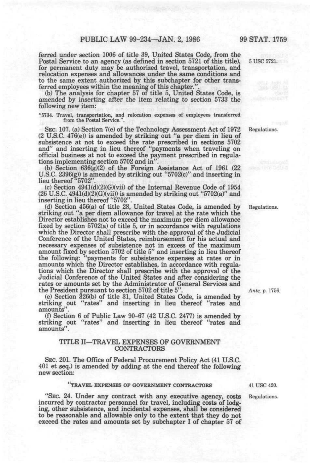ferred under section 1006 of title 39, United States Code, from the Postal Service to an agency (as defined in section 5721 of this title), 5 USC 5721. for permanent duty may be authorized travel, transportation, and relocation expenses and allowances under the same conditions and to the same extent authorized by this subchapter for other transferred employees within the meaning of this chapter.'

(b) The analysis for chapter 57 of title 5, United States Code, is amended by inserting after the item relating to section 5733 the following new item:

"5734. Travel, transportation, and relocation expenses of employees transferred from the Postal Service.".

SEC. 107. (a) Section 7(e) of the Technology Assessment Act of 1972 Regulations. (2 U.S.C. 476(e)) is amended by striking out "a per diem in lieu of subsistence at not to exceed the rate prescribed in sections 5702 and" and inserting in lieu thereof "payments when traveling on official business at not to exceed the payment prescribed in regulations implementing section 5702 and in".

(b) Section  $636(g)(2)$  of the Foreign Assistance Act of 1961 (22) U.S.C.  $2396(g)$  is amended by striking out "5702(c)" and inserting in lieu thereof "5702"

(c) Section 4941(d)(2)(G)(vii) of the Internal Revenue Code of 1954  $(26 \text{ U.S.C. } 4941\text{ (d)}\text{ (2)}\text{ (G)}\text{ (vii)})$  is amended by striking out "5702(a)" and inserting in lieu thereof "5702".

(d) Section 456(a) of title 28, United States Code, is amended by Regulations, striking out "a per diem allowance for travel at the rate which the Director establishes not to exceed the maximum per diem allowance fixed by section 5702(a) of title 5, or in accordance with regulations which the Director shall prescribe with the approval of the Judicial Conference of the United States, reimbursement for his actual and necessary expenses of subsistence not in excess of the maximum amount fixed by section 5702 of title 5" and inserting in lieu thereof the following: "payments for subsistence expenses at rates or in amounts which the Director establishes, in accordance with regulations which the Director shall prescribe with the approval of the Judicial Conference of the United States and after considering the rates or amounts set by the Administrator of General Services and the President pursuant to section 5702 of title 5". *Ante,* p. 1756.

(e) Section 326(b) of title 31, United States Code, is amended by striking out "rates" and inserting in lieu thereof "rates and amounts".

(f) Section 6 of Public Law 90-67 (42 U.S.C. 2477) is amended by striking out "rates" and inserting in lieu thereof "rates and amounts".

#### TITLE II—TRAVEL EXPENSES OF GOVERNMENT CONTRACTORS

SEC. 201. The Office of Federal Procurement Policy Act (41 U.S.C. 401 et seq.) is amended by adding at the end thereof the following new section:

#### **TRAVEL EXPENSES OF GOVERNMENT CONTRACTORS**

"SEC. 24. Under any contract with any executive agency, costs incurred by contractor personnel for travel, including costs of lodging, other subsistence, and incidental expenses, shall be consider^ to be reasonable and allowable only to the extent that they do not exceed the rates and amounts set by subchapter I of chapter 57 of

41 USC 420.

Regulations.